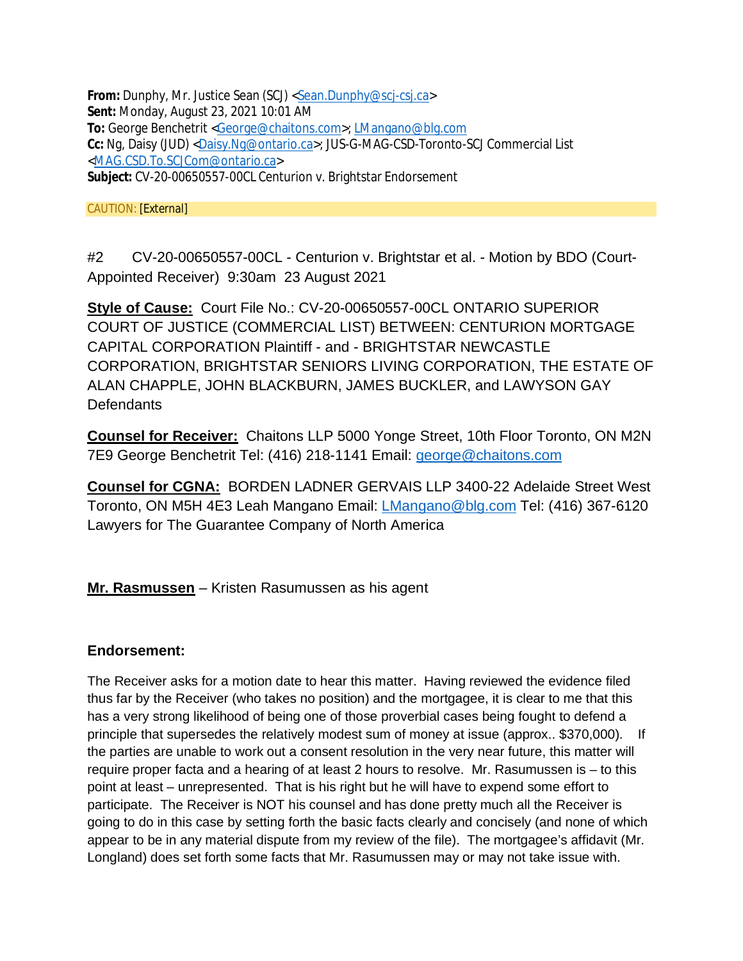**From:** Dunphy, Mr. Justice Sean (SCJ) <Sean.Dunphy@scj-csj.ca> **Sent:** Monday, August 23, 2021 10:01 AM **To:** George Benchetrit <George@chaitons.com>; LMangano@blg.com **Cc:** Ng, Daisy (JUD) <Daisy.Ng@ontario.ca>; JUS-G-MAG-CSD-Toronto-SCJ Commercial List <MAG.CSD.To.SCJCom@ontario.ca> **Subject:** CV-20-00650557-00CL Centurion v. Brightstar Endorsement

CAUTION: [External]

#2 CV-20-00650557-00CL - Centurion v. Brightstar et al. - Motion by BDO (Court-Appointed Receiver) 9:30am 23 August 2021

**Style of Cause:** Court File No.: CV-20-00650557-00CL ONTARIO SUPERIOR COURT OF JUSTICE (COMMERCIAL LIST) BETWEEN: CENTURION MORTGAGE CAPITAL CORPORATION Plaintiff - and - BRIGHTSTAR NEWCASTLE CORPORATION, BRIGHTSTAR SENIORS LIVING CORPORATION, THE ESTATE OF ALAN CHAPPLE, JOHN BLACKBURN, JAMES BUCKLER, and LAWYSON GAY **Defendants** 

**Counsel for Receiver:** Chaitons LLP 5000 Yonge Street, 10th Floor Toronto, ON M2N 7E9 George Benchetrit Tel: (416) 218-1141 Email: george@chaitons.com

**Counsel for CGNA:** BORDEN LADNER GERVAIS LLP 3400-22 Adelaide Street West Toronto, ON M5H 4E3 Leah Mangano Email: LMangano@blg.com Tel: (416) 367-6120 Lawyers for The Guarantee Company of North America

**Mr. Rasmussen** – Kristen Rasumussen as his agent

## **Endorsement:**

The Receiver asks for a motion date to hear this matter. Having reviewed the evidence filed thus far by the Receiver (who takes no position) and the mortgagee, it is clear to me that this has a very strong likelihood of being one of those proverbial cases being fought to defend a principle that supersedes the relatively modest sum of money at issue (approx.. \$370,000). If the parties are unable to work out a consent resolution in the very near future, this matter will require proper facta and a hearing of at least 2 hours to resolve. Mr. Rasumussen is – to this point at least – unrepresented. That is his right but he will have to expend some effort to participate. The Receiver is NOT his counsel and has done pretty much all the Receiver is going to do in this case by setting forth the basic facts clearly and concisely (and none of which appear to be in any material dispute from my review of the file). The mortgagee's affidavit (Mr. Longland) does set forth some facts that Mr. Rasumussen may or may not take issue with.